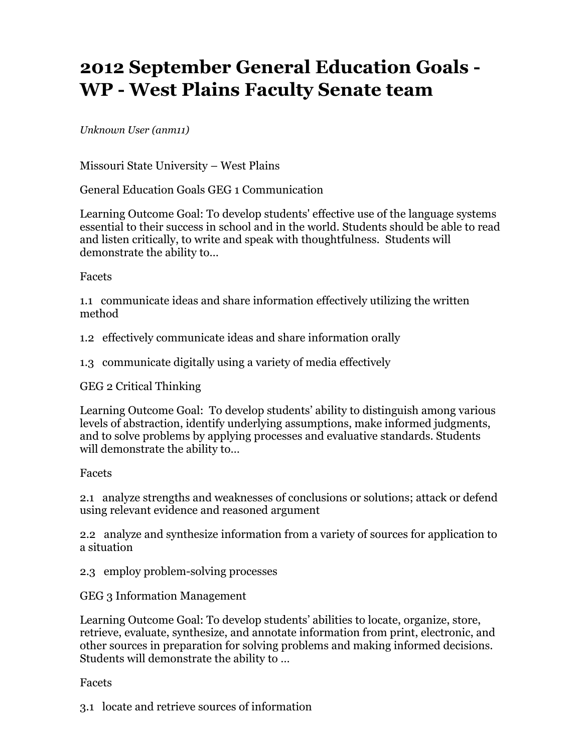## **2012 September General Education Goals - WP - West Plains Faculty Senate team**

*Unknown User (anm11)*

Missouri State University – West Plains

General Education Goals GEG 1 Communication

Learning Outcome Goal: To develop students' effective use of the language systems essential to their success in school and in the world. Students should be able to read and listen critically, to write and speak with thoughtfulness. Students will demonstrate the ability to…

## Facets

1.1 communicate ideas and share information effectively utilizing the written method

1.2 effectively communicate ideas and share information orally

1.3 communicate digitally using a variety of media effectively

GEG 2 Critical Thinking

Learning Outcome Goal: To develop students' ability to distinguish among various levels of abstraction, identify underlying assumptions, make informed judgments, and to solve problems by applying processes and evaluative standards. Students will demonstrate the ability to…

## Facets

2.1 analyze strengths and weaknesses of conclusions or solutions; attack or defend using relevant evidence and reasoned argument

2.2 analyze and synthesize information from a variety of sources for application to a situation

2.3 employ problem-solving processes

GEG 3 Information Management

Learning Outcome Goal: To develop students' abilities to locate, organize, store, retrieve, evaluate, synthesize, and annotate information from print, electronic, and other sources in preparation for solving problems and making informed decisions. Students will demonstrate the ability to …

## Facets

3.1 locate and retrieve sources of information